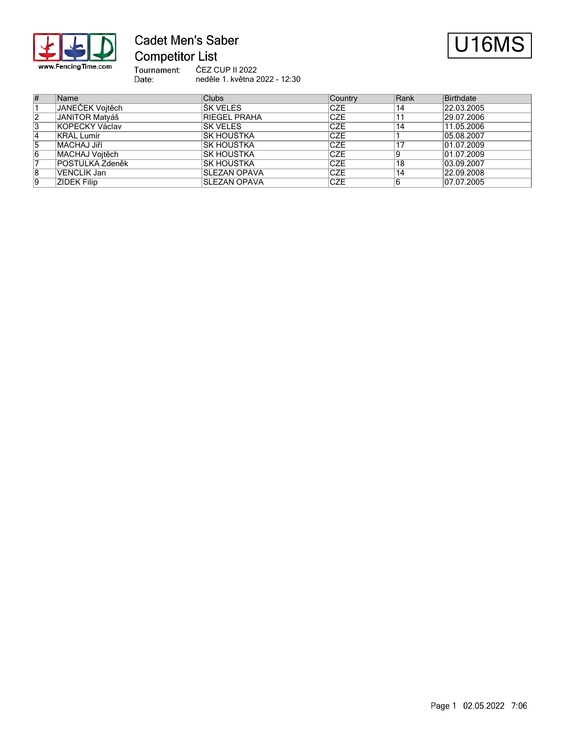

# **Cadet Men's Saber Competitor List**



ČEZ CUP II 2022

Tournament:<br>Date: neděle 1. května 2022 - 12:30

| #  | Name            | <b>Clubs</b>        | Country     | Rank | Birthdate  |
|----|-----------------|---------------------|-------------|------|------------|
|    | JANEČEK Vojtěch | <b>SK VELES</b>     | <b>ICZE</b> | 14   | 22.03.2005 |
| 12 | JANITOR Matváš  | <b>RIEGEL PRAHA</b> | <b>CZE</b>  |      | 29.07.2006 |
| 3  | KOPECKÝ Václav  | <b>SK VELES</b>     | <b>CZE</b>  | 14   | 11.05.2006 |
| 14 | KRÁL Lumír      | IŠK HOUŠTKA         | <b>CZE</b>  |      | 05.08.2007 |
| 15 | MACHAJ Jiří     | IŠK HOUŠTKA         | ICZE        |      | 01.07.2009 |
| 6  | MACHAJ Voitěch  | IŠK HOUŠTKA         | ICZE        |      | 01.07.2009 |
|    | POSTULKA Zdeněk | <b>IŠK HOUŠTKA</b>  | ICZE        | 18   | 03.09.2007 |
| 8  | VENCLÍK Jan     | <b>SLEZAN OPAVA</b> | ICZE        | 14   | 22.09.2008 |
| 19 | ŽÍDEK Filip     | <b>SLEZAN OPAVA</b> | <b>CZE</b>  | 16   | 07.07.2005 |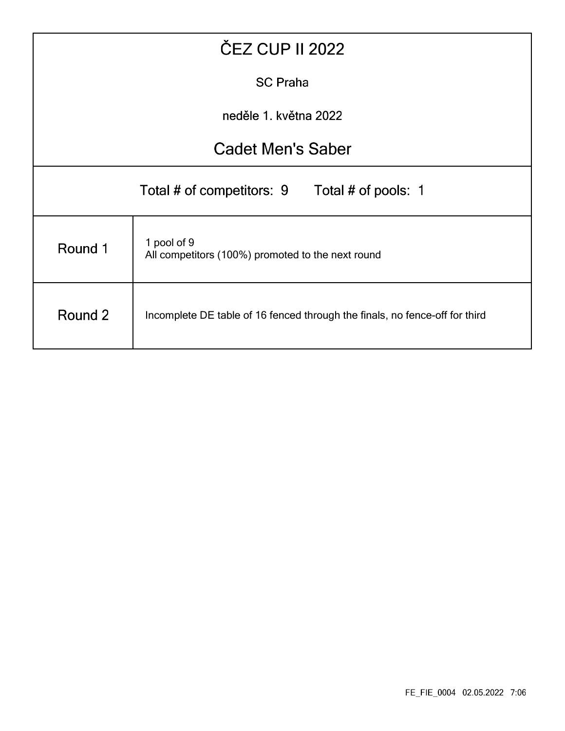| <b>ČEZ CUP II 2022</b>                           |                                                                             |  |  |  |  |  |  |  |  |
|--------------------------------------------------|-----------------------------------------------------------------------------|--|--|--|--|--|--|--|--|
|                                                  | <b>SC Praha</b>                                                             |  |  |  |  |  |  |  |  |
| neděle 1. května 2022                            |                                                                             |  |  |  |  |  |  |  |  |
|                                                  | <b>Cadet Men's Saber</b>                                                    |  |  |  |  |  |  |  |  |
| Total # of competitors: 9<br>Total # of pools: 1 |                                                                             |  |  |  |  |  |  |  |  |
| Round 1                                          | 1 pool of 9<br>All competitors (100%) promoted to the next round            |  |  |  |  |  |  |  |  |
| Round 2                                          | Incomplete DE table of 16 fenced through the finals, no fence-off for third |  |  |  |  |  |  |  |  |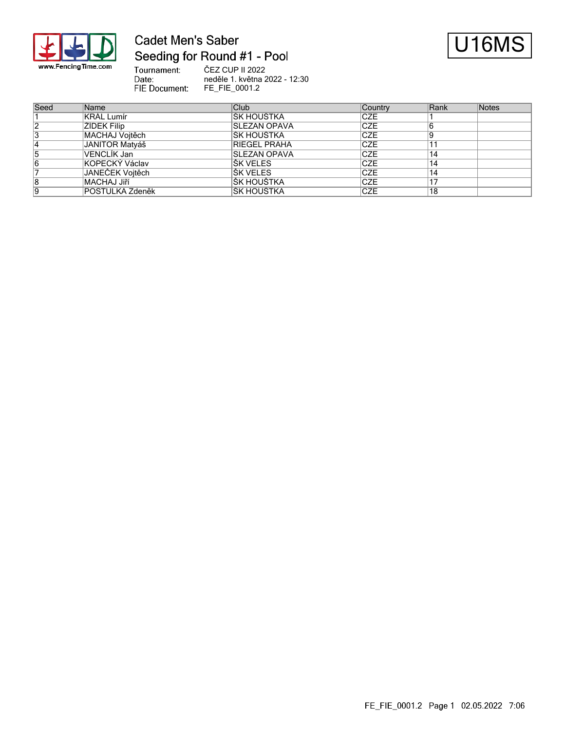

## **Cadet Men's Saber** Seeding for Round #1 - Pool



Tournament: ČEZ CUP II 2022 Date: neděle 1. května 2022 - 12:30 FIE Document: FE\_FIE\_0001.2

| Seed | Name            | Club                 | Country     | Rank | Notes |
|------|-----------------|----------------------|-------------|------|-------|
|      | KRÁL Lumír      | IŠK HOUŠTKA          | <b>CZE</b>  |      |       |
| 2    | ŽÍDEK Filip     | <b>ISLEZAN OPAVA</b> | <b>CZE</b>  |      |       |
| 3    | MACHAJ Voitěch  | IŠK HOUŠTKA          | <b>ICZE</b> |      |       |
| 4    | JANITOR Matváš  | <b>RIEGEL PRAHA</b>  | ICZE        |      |       |
| 5    | VENCLİK Jan     | <b>SLEZAN OPAVA</b>  | <b>ICZE</b> | 14   |       |
| 16   | KOPECKÝ Václav  | IŠK VELES            | <b>ICZE</b> | 14   |       |
|      | JANEČEK Voitěch | <b>ŠK VELES</b>      | ICZE        | 14   |       |
| 8    | MACHAJ Jiří     | IŠK HOUŠTKA          | <b>ICZE</b> | 17   |       |
| 19   | POSTULKA Zdeněk | IŠK HOUŠTKA          | <b>CZE</b>  | 18   |       |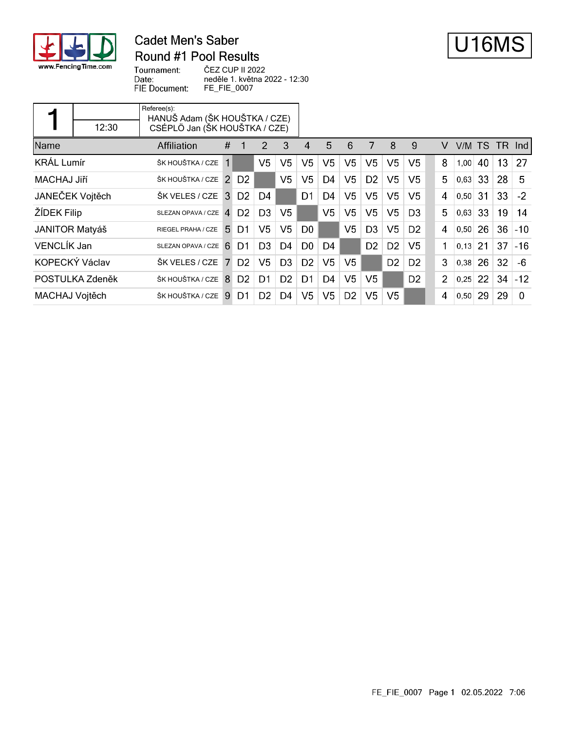

### **Cadet Men's Saber** Round #1 Pool Results



Tournament: Date: FIE Document:

ČEZ CUP II 2022 neděle 1. května 2022 - 12:30 FE\_FIE\_0007

| 5<br>Name<br>#<br>3<br>7<br>Affiliation<br>2<br>6<br>8<br>9<br>V/M<br>TS.<br>v<br>TR.<br>4<br>-Ind<br><b>KRÁL Lumír</b><br>V <sub>5</sub><br>V <sub>5</sub><br>V <sub>5</sub><br>V <sub>5</sub><br>V <sub>5</sub><br>V <sub>5</sub><br>V <sub>5</sub><br>V5<br>8<br>40<br>13<br>27<br>ŠK HOUŠTKA / CZE<br>1,00<br>V <sub>5</sub><br>V <sub>5</sub><br>5<br>V5<br>D <sub>2</sub><br>V5<br>V5<br>5.<br>33<br>28<br><b>MACHAJ Jiří</b><br>ŠK HOUŠTKA / CZE<br>$\mathcal{P}$<br>D <sub>2</sub><br>D4<br>0,63<br>JANEČEK Vojtěch<br>V <sub>5</sub><br>V5<br>V <sub>5</sub><br>V <sub>5</sub><br>33<br>31<br>$-2$<br>ŠK VELES / CZE<br>D <sub>2</sub><br>D1<br>D4<br>3<br>D4<br>4<br>0,50<br>ŽÍDEK Filip<br>V <sub>5</sub><br>V <sub>5</sub><br>V5<br>D <sub>3</sub><br>V <sub>5</sub><br>V5<br>D <sub>3</sub><br>5.<br>33<br>19<br>14<br>D <sub>2</sub><br>0,63<br>$\overline{4}$<br>SLEZAN OPAVA / CZE<br>V <sub>5</sub><br>V <sub>5</sub><br>V <sub>5</sub><br>V <sub>5</sub><br>D <sub>3</sub><br>26<br>$36 - 10$<br><b>JANITOR Matyáš</b><br>D <sub>0</sub><br>D <sub>2</sub><br>5.<br>D1<br>$\overline{4}$<br>0,50<br>RIEGEL PRAHA / CZE<br><b>VENCLÍK Jan</b><br>37<br>V5<br>21<br>$-16$<br>D <sub>3</sub><br>D <sub>4</sub><br>D <sub>0</sub><br>D <sub>4</sub><br>D <sub>2</sub><br>D <sub>2</sub><br>1<br>6<br>D1<br>0.13<br>SLEZAN OPAVA / CZE<br>KOPECKÝ Václav<br>V5<br>V <sub>5</sub><br>26<br>$\overline{7}$<br>D <sub>2</sub><br>V5<br>D <sub>3</sub><br>D <sub>2</sub><br>D <sub>2</sub><br>3<br>32<br>ŠK VELES / CZE<br>D <sub>2</sub><br>-6<br>0,38<br>V <sub>5</sub><br>D <sub>2</sub><br>V5<br>D <sub>2</sub><br>22<br>$-12$<br>D <sub>2</sub><br>D <sub>4</sub><br>$\overline{2}$<br>34<br>POSTULKA Zdeněk<br>ŠK HOUŠTKA / CZE<br><b>8</b><br>D1<br>D1<br>0,25<br>V <sub>5</sub><br>V <sub>5</sub><br>V <sub>5</sub><br>D <sub>4</sub><br>D <sub>2</sub><br>V <sub>5</sub><br>29<br>29<br>ŠK HOUŠTKA / CZE<br>D <sub>2</sub><br>MACHAJ Vojtěch<br>9<br>D1<br>$\overline{4}$<br>$\Omega$<br>0,50 |  | 12:30 | Referee(s):<br>HANUŠ Adam (ŠK HOUŠTKA / CZE)<br>CSÉPLÖ Jan (ŠK HOUŠTKA / CZE) |  |  |  |  |  |  |  |  |  |  |
|-----------------------------------------------------------------------------------------------------------------------------------------------------------------------------------------------------------------------------------------------------------------------------------------------------------------------------------------------------------------------------------------------------------------------------------------------------------------------------------------------------------------------------------------------------------------------------------------------------------------------------------------------------------------------------------------------------------------------------------------------------------------------------------------------------------------------------------------------------------------------------------------------------------------------------------------------------------------------------------------------------------------------------------------------------------------------------------------------------------------------------------------------------------------------------------------------------------------------------------------------------------------------------------------------------------------------------------------------------------------------------------------------------------------------------------------------------------------------------------------------------------------------------------------------------------------------------------------------------------------------------------------------------------------------------------------------------------------------------------------------------------------------------------------------------------------------------------------------------------------------------------------------------------------------------------------------------------------------------------------------------------------|--|-------|-------------------------------------------------------------------------------|--|--|--|--|--|--|--|--|--|--|
|                                                                                                                                                                                                                                                                                                                                                                                                                                                                                                                                                                                                                                                                                                                                                                                                                                                                                                                                                                                                                                                                                                                                                                                                                                                                                                                                                                                                                                                                                                                                                                                                                                                                                                                                                                                                                                                                                                                                                                                                                 |  |       |                                                                               |  |  |  |  |  |  |  |  |  |  |
|                                                                                                                                                                                                                                                                                                                                                                                                                                                                                                                                                                                                                                                                                                                                                                                                                                                                                                                                                                                                                                                                                                                                                                                                                                                                                                                                                                                                                                                                                                                                                                                                                                                                                                                                                                                                                                                                                                                                                                                                                 |  |       |                                                                               |  |  |  |  |  |  |  |  |  |  |
|                                                                                                                                                                                                                                                                                                                                                                                                                                                                                                                                                                                                                                                                                                                                                                                                                                                                                                                                                                                                                                                                                                                                                                                                                                                                                                                                                                                                                                                                                                                                                                                                                                                                                                                                                                                                                                                                                                                                                                                                                 |  |       |                                                                               |  |  |  |  |  |  |  |  |  |  |
|                                                                                                                                                                                                                                                                                                                                                                                                                                                                                                                                                                                                                                                                                                                                                                                                                                                                                                                                                                                                                                                                                                                                                                                                                                                                                                                                                                                                                                                                                                                                                                                                                                                                                                                                                                                                                                                                                                                                                                                                                 |  |       |                                                                               |  |  |  |  |  |  |  |  |  |  |
|                                                                                                                                                                                                                                                                                                                                                                                                                                                                                                                                                                                                                                                                                                                                                                                                                                                                                                                                                                                                                                                                                                                                                                                                                                                                                                                                                                                                                                                                                                                                                                                                                                                                                                                                                                                                                                                                                                                                                                                                                 |  |       |                                                                               |  |  |  |  |  |  |  |  |  |  |
|                                                                                                                                                                                                                                                                                                                                                                                                                                                                                                                                                                                                                                                                                                                                                                                                                                                                                                                                                                                                                                                                                                                                                                                                                                                                                                                                                                                                                                                                                                                                                                                                                                                                                                                                                                                                                                                                                                                                                                                                                 |  |       |                                                                               |  |  |  |  |  |  |  |  |  |  |
|                                                                                                                                                                                                                                                                                                                                                                                                                                                                                                                                                                                                                                                                                                                                                                                                                                                                                                                                                                                                                                                                                                                                                                                                                                                                                                                                                                                                                                                                                                                                                                                                                                                                                                                                                                                                                                                                                                                                                                                                                 |  |       |                                                                               |  |  |  |  |  |  |  |  |  |  |
|                                                                                                                                                                                                                                                                                                                                                                                                                                                                                                                                                                                                                                                                                                                                                                                                                                                                                                                                                                                                                                                                                                                                                                                                                                                                                                                                                                                                                                                                                                                                                                                                                                                                                                                                                                                                                                                                                                                                                                                                                 |  |       |                                                                               |  |  |  |  |  |  |  |  |  |  |
|                                                                                                                                                                                                                                                                                                                                                                                                                                                                                                                                                                                                                                                                                                                                                                                                                                                                                                                                                                                                                                                                                                                                                                                                                                                                                                                                                                                                                                                                                                                                                                                                                                                                                                                                                                                                                                                                                                                                                                                                                 |  |       |                                                                               |  |  |  |  |  |  |  |  |  |  |
|                                                                                                                                                                                                                                                                                                                                                                                                                                                                                                                                                                                                                                                                                                                                                                                                                                                                                                                                                                                                                                                                                                                                                                                                                                                                                                                                                                                                                                                                                                                                                                                                                                                                                                                                                                                                                                                                                                                                                                                                                 |  |       |                                                                               |  |  |  |  |  |  |  |  |  |  |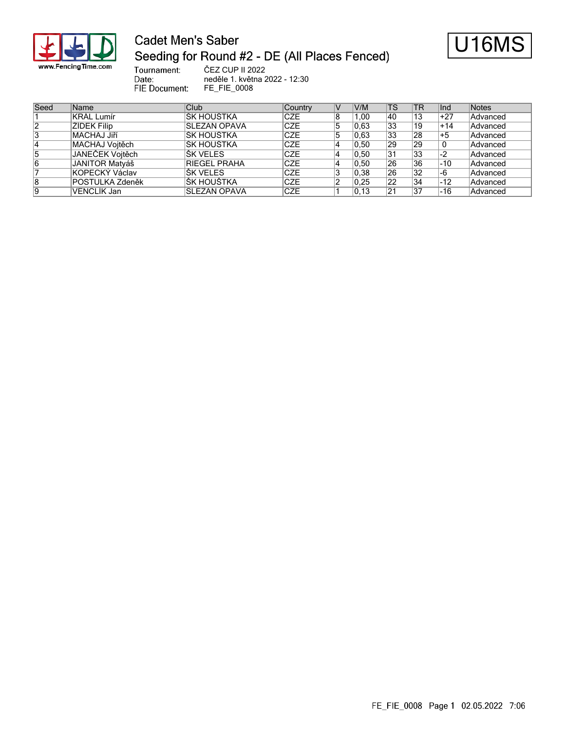

Date:

# **Cadet Men's Saber** Seeding for Round #2 - DE (All Places Fenced)



Tournament: ČEZ CUP II 2022 neděle 1. května 2022 - 12:30 FIE Document: FE\_FIE\_0008

| Seed | Name                   | Club                | Country    | V  | V/M  | lTS.            | <b>TR</b> | lnd   | Notes    |
|------|------------------------|---------------------|------------|----|------|-----------------|-----------|-------|----------|
|      | KRÁL Lumír             | IŠK HOUŠTKA         | <b>CZE</b> | 8  | .00  | 140             | 13        | $+27$ | Advanced |
| 2    | ŽÍDEK Filip            | <b>SLEZAN OPAVA</b> | <b>CZE</b> | 5  | 0.63 | 33              | 19        | $+14$ | Advanced |
| 13   | <b>MACHAJ Jiří</b>     | IŠK HOUŠTKA         | <b>CZE</b> | 15 | 0.63 | 33              | 28        | +5    | Advanced |
| 14   | MACHAJ Voitěch         | IŠK HOUŠTKA         | <b>CZE</b> |    | 0.50 | 29              | 29        |       | Advanced |
| 5    | JANEČEK Vojtěch        | IŠK VELES           | <b>CZE</b> |    | 0.50 | 131             | 33        | -2    | Advanced |
| 6    | JANITOR Matyáš         | <b>RIEGEL PRAHA</b> | <b>CZE</b> |    | 0.50 | 26              | 36        | ⊩10   | Advanced |
|      | KOPECKÝ Václav         | <b>ŠK VELES</b>     | <b>CZE</b> | 3  | 0,38 | 26              | 32        | -6    | Advanced |
| 8    | <b>POSTULKA Zdeněk</b> | IŠK HOUŠTKA         | <b>CZE</b> |    | 0.25 | $\overline{22}$ | 34        | $-12$ | Advanced |
| 19   | VENCLİK Jan            | <b>SLEZAN OPAVA</b> | <b>CZE</b> |    | 0.13 | 21              | 37        | -16   | Advanced |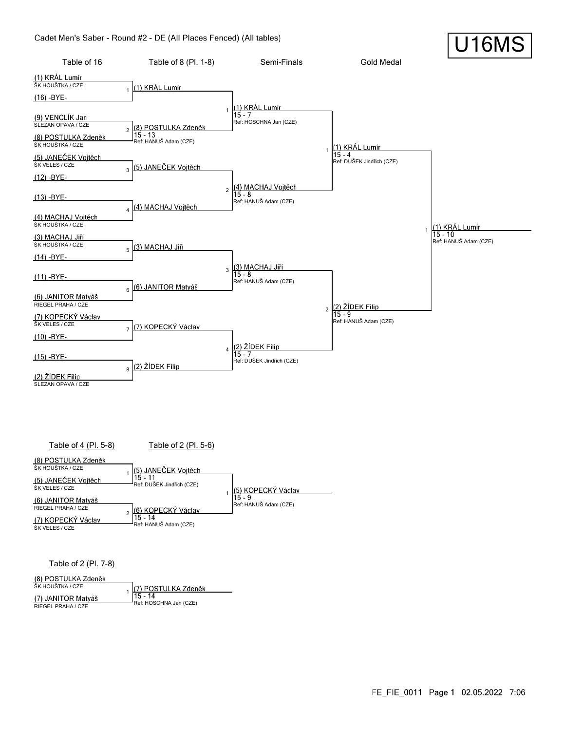#### Cadet Men's Saber - Round #2 - DE (All Places Fenced) (All tables)





Table of 2 (Pl. 7-8)

(8) POSTULKA Zdeněk

ŠK HOUŠTKA / CZE (7) POSTULKA Zdeněk 1 (7) JANITOR Matyáš |15 - 14 Ref: HOSCHNA Jan (CZE) RIEGEL PRAHA / CZE

U16MS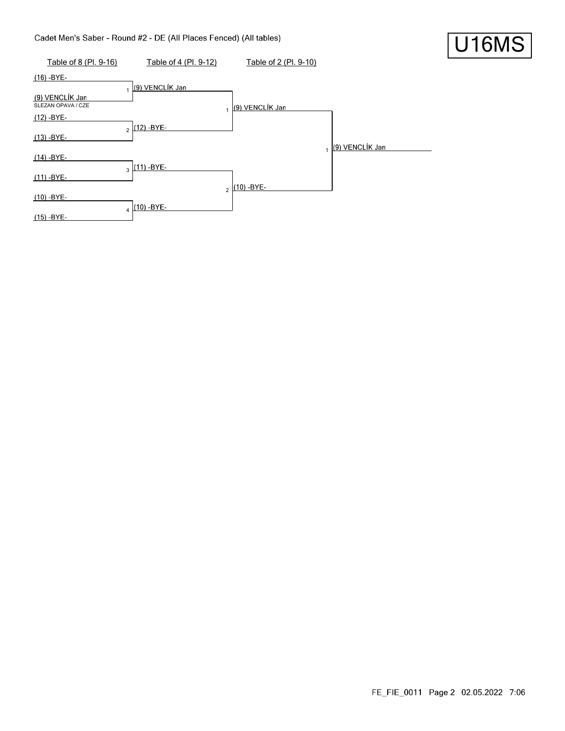### Cadet Men's Saber - Round #2 - DE (All Places Fenced) (All tables)

| Table of 8 (Pl. 9-16)                 | Table of 4 (Pl. 9-12)             | Table of 2 (Pl. 9-10) |                 |
|---------------------------------------|-----------------------------------|-----------------------|-----------------|
| (16) -BYE-                            |                                   |                       |                 |
| (9) VENCLÍK Jan<br>SLEZAN OPAVA / CZE | (9) VENCLÍK Jan<br>$\blacksquare$ | (9) VENCLÍK Jan       |                 |
| $(12) - BYE-$                         |                                   |                       |                 |
| $(13) - BYE-$                         | $2(12) - BYE$                     | $\overline{1}$        | (9) VENCLÍK Jan |
| $(14) - BYE-$                         |                                   |                       |                 |
| $(11) - BYE -$                        | $3(11) - BYE-$                    | (10) - BYE-           |                 |
| $(10) - BYE -$                        | $\mathfrak{p}$                    |                       |                 |
| $(15) - BYE -$                        | $(10) - BYE$ -                    |                       |                 |

U16MS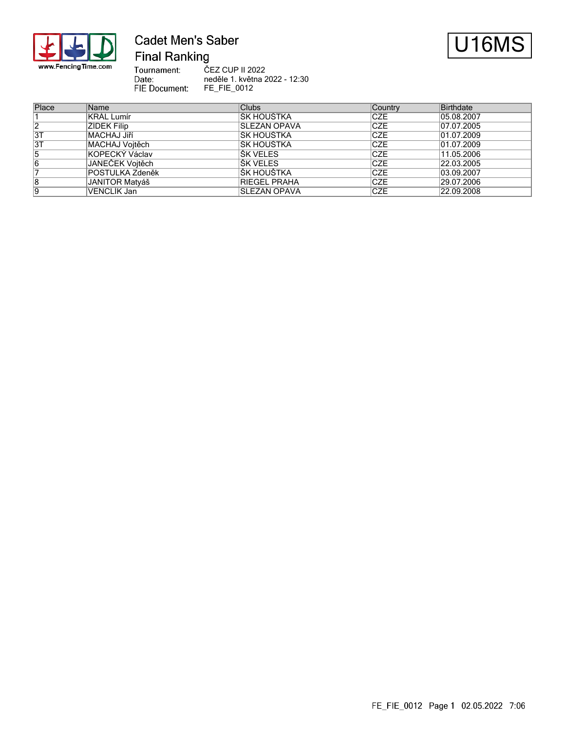

### **Cadet Men's Saber Final Ranking**



Tournament:<br>Date: ČEZ CUP II 2022 neděle 1. května 2022 - 12:30 FIE Document: FE\_FIE\_0012

| Place | Name                  | <b>Clubs</b>        | Country    | Birthdate  |
|-------|-----------------------|---------------------|------------|------------|
|       | <b>KRÁL Lumír</b>     | ŠK HOUŠTKA          | <b>CZE</b> | 05.08.2007 |
| 2     | ŽÍDEK Filip           | <b>SLEZAN OPAVA</b> | <b>CZE</b> | 07.07.2005 |
| 3T    | MACHAJ Jiří           | <b>SK HOUŠTKA</b>   | <b>CZE</b> | 01.07.2009 |
| 3T    | MACHAJ Vojtěch        | IŠK HOUŠTKA         | <b>CZE</b> | 01.07.2009 |
| 5     | KOPECKÝ Václav        | IŠK VELES           | <b>CZE</b> | 11.05.2006 |
| 6     | JANEČEK Vojtěch       | IŠK VELES           | <b>CZE</b> | 22.03.2005 |
|       | POSTULKA Zdeněk       | ŠK HOUŠTKA          | <b>CZE</b> | 03.09.2007 |
| 8     | <b>JANITOR Matyáš</b> | <b>RIEGEL PRAHA</b> | <b>CZE</b> | 29.07.2006 |
| 9     | VENCLÍK Jan           | <b>SLEZAN OPAVA</b> | <b>CZE</b> | 22.09.2008 |